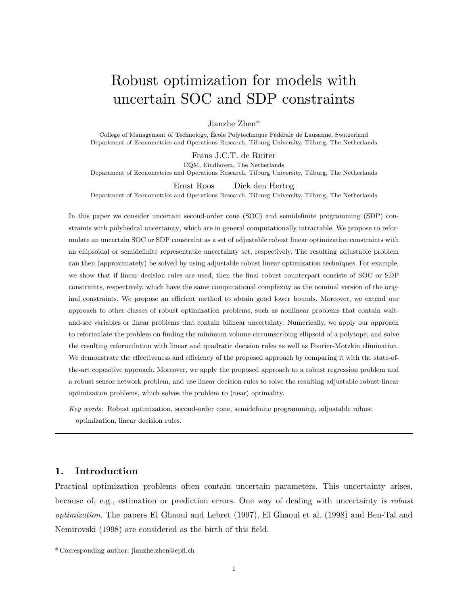# Robust optimization for models with uncertain SOC and SDP constraints

Jianzhe Zhen\*

College of Management of Technology, École Polytechnique Fédérale de Lausanne, Switzerland Department of Econometrics and Operations Research, Tilburg University, Tilburg, The Netherlands

Frans J.C.T. de Ruiter

CQM, Eindhoven, The Netherlands Department of Econometrics and Operations Research, Tilburg University, Tilburg, The Netherlands

Ernst Roos Dick den Hertog

Department of Econometrics and Operations Research, Tilburg University, Tilburg, The Netherlands

In this paper we consider uncertain second-order cone (SOC) and semidefinite programming (SDP) constraints with polyhedral uncertainty, which are in general computationally intractable. We propose to reformulate an uncertain SOC or SDP constraint as a set of adjustable robust linear optimization constraints with an ellipsoidal or semidefinite representable uncertainty set, respectively. The resulting adjustable problem can then (approximately) be solved by using adjustable robust linear optimization techniques. For example, we show that if linear decision rules are used, then the final robust counterpart consists of SOC or SDP constraints, respectively, which have the same computational complexity as the nominal version of the original constraints. We propose an efficient method to obtain good lower bounds. Moreover, we extend our approach to other classes of robust optimization problems, such as nonlinear problems that contain waitand-see variables or linear problems that contain bilinear uncertainty. Numerically, we apply our approach to reformulate the problem on finding the minimum volume circumscribing ellipsoid of a polytope, and solve the resulting reformulation with linear and quadratic decision rules as well as Fourier-Motzkin elimination. We demonstrate the effectiveness and efficiency of the proposed approach by comparing it with the state-ofthe-art copositive approach. Moreover, we apply the proposed approach to a robust regression problem and a robust sensor network problem, and use linear decision rules to solve the resulting adjustable robust linear optimization problems, which solves the problem to (near) optimality.

Key words : Robust optimization, second-order cone, semidefinite programming, adjustable robust optimization, linear decision rules.

# 1. Introduction

Practical optimization problems often contain uncertain parameters. This uncertainty arises, because of, e.g., estimation or prediction errors. One way of dealing with uncertainty is robust optimization. The papers El Ghaoui and Lebret (1997), El Ghaoui et al. (1998) and Ben-Tal and Nemirovski (1998) are considered as the birth of this field.

<sup>\*</sup> Corresponding author: jianzhe.zhen@epfl.ch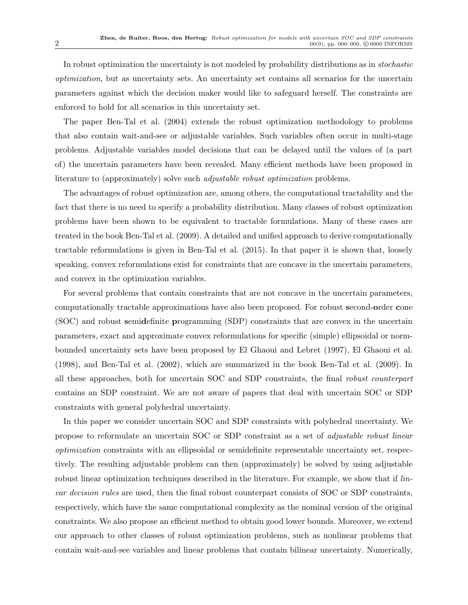In robust optimization the uncertainty is not modeled by probability distributions as in stochastic optimization, but as uncertainty sets. An uncertainty set contains all scenarios for the uncertain parameters against which the decision maker would like to safeguard herself. The constraints are enforced to hold for all scenarios in this uncertainty set.

The paper Ben-Tal et al. (2004) extends the robust optimization methodology to problems that also contain wait-and-see or adjustable variables. Such variables often occur in multi-stage problems. Adjustable variables model decisions that can be delayed until the values of (a part of) the uncertain parameters have been revealed. Many efficient methods have been proposed in literature to (approximately) solve such adjustable robust optimization problems.

The advantages of robust optimization are, among others, the computational tractability and the fact that there is no need to specify a probability distribution. Many classes of robust optimization problems have been shown to be equivalent to tractable formulations. Many of these cases are treated in the book Ben-Tal et al. (2009). A detailed and unified approach to derive computationally tractable reformulations is given in Ben-Tal et al. (2015). In that paper it is shown that, loosely speaking, convex reformulations exist for constraints that are concave in the uncertain parameters, and convex in the optimization variables.

For several problems that contain constraints that are not concave in the uncertain parameters, computationally tractable approximations have also been proposed. For robust second-order cone (SOC) and robust semidefinite programming (SDP) constraints that are convex in the uncertain parameters, exact and approximate convex reformulations for specific (simple) ellipsoidal or normbounded uncertainty sets have been proposed by El Ghaoui and Lebret (1997), El Ghaoui et al. (1998), and Ben-Tal et al. (2002), which are summarized in the book Ben-Tal et al. (2009). In all these approaches, both for uncertain SOC and SDP constraints, the final robust counterpart contains an SDP constraint. We are not aware of papers that deal with uncertain SOC or SDP constraints with general polyhedral uncertainty.

In this paper we consider uncertain SOC and SDP constraints with polyhedral uncertainty. We propose to reformulate an uncertain SOC or SDP constraint as a set of adjustable robust linear optimization constraints with an ellipsoidal or semidefinite representable uncertainty set, respectively. The resulting adjustable problem can then (approximately) be solved by using adjustable robust linear optimization techniques described in the literature. For example, we show that if *lin*ear decision rules are used, then the final robust counterpart consists of SOC or SDP constraints, respectively, which have the same computational complexity as the nominal version of the original constraints. We also propose an efficient method to obtain good lower bounds. Moreover, we extend our approach to other classes of robust optimization problems, such as nonlinear problems that contain wait-and-see variables and linear problems that contain bilinear uncertainty. Numerically,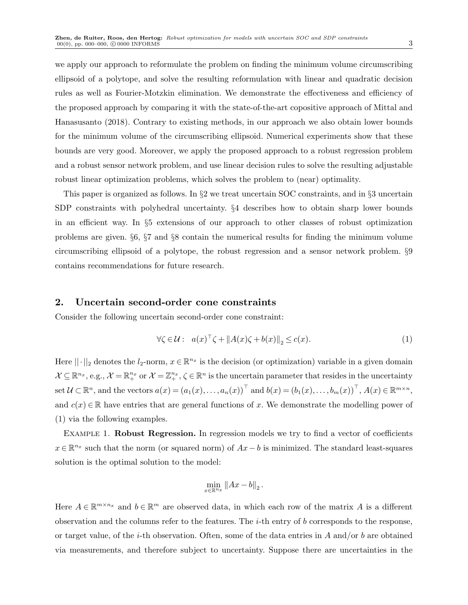we apply our approach to reformulate the problem on finding the minimum volume circumscribing ellipsoid of a polytope, and solve the resulting reformulation with linear and quadratic decision rules as well as Fourier-Motzkin elimination. We demonstrate the effectiveness and efficiency of the proposed approach by comparing it with the state-of-the-art copositive approach of Mittal and Hanasusanto (2018). Contrary to existing methods, in our approach we also obtain lower bounds for the minimum volume of the circumscribing ellipsoid. Numerical experiments show that these bounds are very good. Moreover, we apply the proposed approach to a robust regression problem and a robust sensor network problem, and use linear decision rules to solve the resulting adjustable robust linear optimization problems, which solves the problem to (near) optimality.

This paper is organized as follows. In §2 we treat uncertain SOC constraints, and in §3 uncertain SDP constraints with polyhedral uncertainty. §4 describes how to obtain sharp lower bounds in an efficient way. In §5 extensions of our approach to other classes of robust optimization problems are given. §6, §7 and §8 contain the numerical results for finding the minimum volume circumscribing ellipsoid of a polytope, the robust regression and a sensor network problem. §9 contains recommendations for future research.

### 2. Uncertain second-order cone constraints

Consider the following uncertain second-order cone constraint:

$$
\forall \zeta \in \mathcal{U}: \quad a(x)^{\top} \zeta + \|A(x)\zeta + b(x)\|_2 \le c(x). \tag{1}
$$

Here  $\|\cdot\|_2$  denotes the  $l_2$ -norm,  $x \in \mathbb{R}^{n_x}$  is the decision (or optimization) variable in a given domain  $\mathcal{X} \subseteq \mathbb{R}^{n_x},$  e.g.,  $\mathcal{X} = \mathbb{R}^{n_x}$  or  $\mathcal{X} = \mathbb{Z}^{n_x}$ ,  $\zeta \in \mathbb{R}^n$  is the uncertain parameter that resides in the uncertainty set  $\mathcal{U} \subset \mathbb{R}^n$ , and the vectors  $a(x) = (a_1(x), \ldots, a_n(x))^{\top}$  and  $b(x) = (b_1(x), \ldots, b_m(x))^{\top}$ ,  $A(x) \in \mathbb{R}^{m \times n}$ , and  $c(x) \in \mathbb{R}$  have entries that are general functions of x. We demonstrate the modelling power of (1) via the following examples.

EXAMPLE 1. **Robust Regression.** In regression models we try to find a vector of coefficients  $x \in \mathbb{R}^{n_x}$  such that the norm (or squared norm) of  $Ax - b$  is minimized. The standard least-squares solution is the optimal solution to the model:

$$
\min_{x\in\mathbb{R}^{n_x}}\left\|Ax-b\right\|_2.
$$

Here  $A \in \mathbb{R}^{m \times n_x}$  and  $b \in \mathbb{R}^m$  are observed data, in which each row of the matrix A is a different observation and the columns refer to the features. The *i*-th entry of b corresponds to the response, or target value, of the *i*-th observation. Often, some of the data entries in A and/or b are obtained via measurements, and therefore subject to uncertainty. Suppose there are uncertainties in the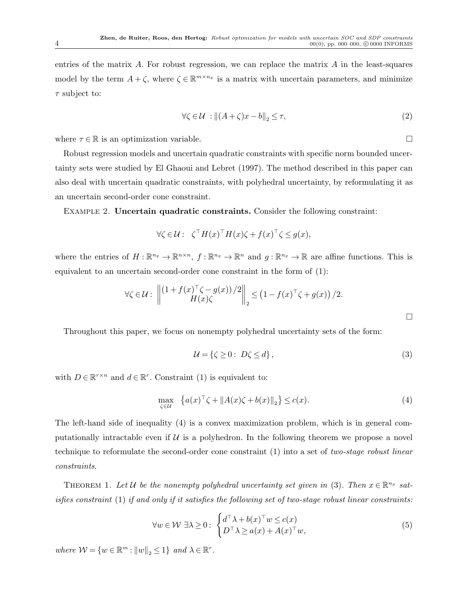entries of the matrix  $A$ . For robust regression, we can replace the matrix  $A$  in the least-squares model by the term  $A + \zeta$ , where  $\zeta \in \mathbb{R}^{m \times n_x}$  is a matrix with uncertain parameters, and minimize  $\tau$  subject to:

$$
\forall \zeta \in \mathcal{U} : \left\| (A + \zeta)x - b \right\|_2 \le \tau,
$$
\n<sup>(2)</sup>

where  $\tau \in \mathbb{R}$  is an optimization variable.

Robust regression models and uncertain quadratic constraints with specific norm bounded uncertainty sets were studied by El Ghaoui and Lebret (1997). The method described in this paper can also deal with uncertain quadratic constraints, with polyhedral uncertainty, by reformulating it as an uncertain second-order cone constraint.

Example 2. Uncertain quadratic constraints. Consider the following constraint:

$$
\forall \zeta \in \mathcal{U}: \ \zeta^{\top} H(x)^{\top} H(x) \zeta + f(x)^{\top} \zeta \le g(x),
$$

where the entries of  $H: \mathbb{R}^{n_x} \to \mathbb{R}^{n \times n}$ ,  $f: \mathbb{R}^{n_x} \to \mathbb{R}^n$  and  $g: \mathbb{R}^{n_x} \to \mathbb{R}$  are affine functions. This is equivalent to an uncertain second-order cone constraint in the form of (1):

$$
\forall \zeta \in \mathcal{U}: \left\| \begin{matrix} (1+f(x)^\top \zeta - g(x)) / 2 \\ H(x) \zeta \end{matrix} \right\|_2 \leq \left(1 - f(x)^\top \zeta + g(x)\right) / 2.
$$

Throughout this paper, we focus on nonempty polyhedral uncertainty sets of the form:

$$
\mathcal{U} = \{ \zeta \ge 0 : D\zeta \le d \},\tag{3}
$$

with  $D \in \mathbb{R}^{r \times n}$  and  $d \in \mathbb{R}^r$ . Constraint (1) is equivalent to:

$$
\max_{\zeta \in \mathcal{U}} \left\{ a(x)^\top \zeta + \|A(x)\zeta + b(x)\|_2 \right\} \le c(x). \tag{4}
$$

The left-hand side of inequality (4) is a convex maximization problem, which is in general computationally intractable even if  $U$  is a polyhedron. In the following theorem we propose a novel technique to reformulate the second-order cone constraint (1) into a set of two-stage robust linear constraints.

THEOREM 1. Let U be the nonempty polyhedral uncertainty set given in (3). Then  $x \in \mathbb{R}^{n_x}$  satisfies constraint  $(1)$  if and only if it satisfies the following set of two-stage robust linear constraints:

$$
\forall w \in \mathcal{W} \,\,\exists \lambda \geq 0: \,\,\begin{cases} d^\top \lambda + b(x)^\top w \leq c(x) \\ D^\top \lambda \geq a(x) + A(x)^\top w, \end{cases} \tag{5}
$$

where  $\mathcal{W} = \{w \in \mathbb{R}^m : ||w||_2 \leq 1\}$  and  $\lambda \in \mathbb{R}^r$ .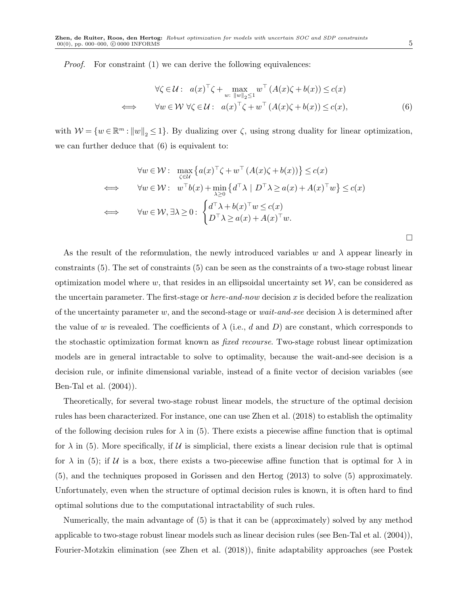Proof. For constraint (1) we can derive the following equivalences:

$$
\forall \zeta \in \mathcal{U}: a(x)^{\top} \zeta + \max_{w: \|w\|_2 \le 1} w^{\top} (A(x)\zeta + b(x)) \le c(x)
$$
  

$$
\iff \forall w \in \mathcal{W} \ \forall \zeta \in \mathcal{U}: a(x)^{\top} \zeta + w^{\top} (A(x)\zeta + b(x)) \le c(x),
$$
 (6)

with  $W = \{w \in \mathbb{R}^m : ||w||_2 \leq 1\}$ . By dualizing over  $\zeta$ , using strong duality for linear optimization, we can further deduce that (6) is equivalent to:

$$
\forall w \in \mathcal{W}: \max_{\zeta \in \mathcal{U}} \left\{ a(x)^\top \zeta + w^\top \left( A(x) \zeta + b(x) \right) \right\} \le c(x)
$$
  
\n
$$
\iff \forall w \in \mathcal{W}: \ w^\top b(x) + \min_{\lambda \ge 0} \left\{ d^\top \lambda \mid D^\top \lambda \ge a(x) + A(x)^\top w \right\} \le c(x)
$$
  
\n
$$
\iff \forall w \in \mathcal{W}, \exists \lambda \ge 0: \begin{cases} d^\top \lambda + b(x)^\top w \le c(x) \\ D^\top \lambda \ge a(x) + A(x)^\top w. \end{cases}
$$

As the result of the reformulation, the newly introduced variables w and  $\lambda$  appear linearly in constraints (5). The set of constraints (5) can be seen as the constraints of a two-stage robust linear optimization model where  $w$ , that resides in an ellipsoidal uncertainty set  $W$ , can be considered as the uncertain parameter. The first-stage or *here-and-now* decision x is decided before the realization of the uncertainty parameter w, and the second-stage or wait-and-see decision  $\lambda$  is determined after the value of w is revealed. The coefficients of  $\lambda$  (i.e., d and D) are constant, which corresponds to the stochastic optimization format known as fixed recourse. Two-stage robust linear optimization models are in general intractable to solve to optimality, because the wait-and-see decision is a decision rule, or infinite dimensional variable, instead of a finite vector of decision variables (see Ben-Tal et al. (2004)).

Theoretically, for several two-stage robust linear models, the structure of the optimal decision rules has been characterized. For instance, one can use Zhen et al. (2018) to establish the optimality of the following decision rules for  $\lambda$  in (5). There exists a piecewise affine function that is optimal for  $\lambda$  in (5). More specifically, if U is simplicial, there exists a linear decision rule that is optimal for  $\lambda$  in (5); if U is a box, there exists a two-piecewise affine function that is optimal for  $\lambda$  in (5), and the techniques proposed in Gorissen and den Hertog (2013) to solve (5) approximately. Unfortunately, even when the structure of optimal decision rules is known, it is often hard to find optimal solutions due to the computational intractability of such rules.

Numerically, the main advantage of (5) is that it can be (approximately) solved by any method applicable to two-stage robust linear models such as linear decision rules (see Ben-Tal et al. (2004)), Fourier-Motzkin elimination (see Zhen et al. (2018)), finite adaptability approaches (see Postek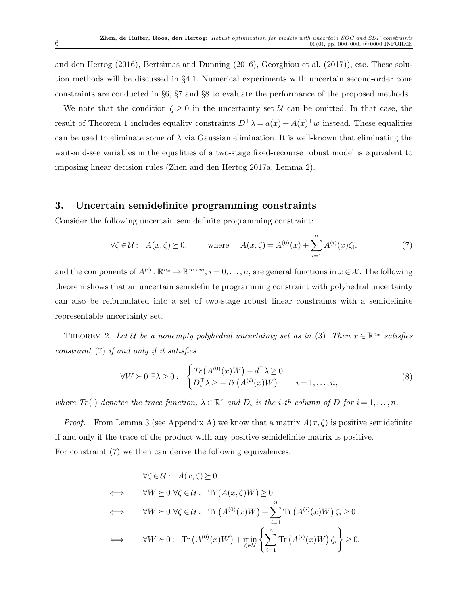and den Hertog (2016), Bertsimas and Dunning (2016), Georghiou et al. (2017)), etc. These solution methods will be discussed in §4.1. Numerical experiments with uncertain second-order cone constraints are conducted in §6, §7 and §8 to evaluate the performance of the proposed methods.

We note that the condition  $\zeta \geq 0$  in the uncertainty set U can be omitted. In that case, the result of Theorem 1 includes equality constraints  $D^{\top}\lambda = a(x) + A(x)^{\top}w$  instead. These equalities can be used to eliminate some of  $\lambda$  via Gaussian elimination. It is well-known that eliminating the wait-and-see variables in the equalities of a two-stage fixed-recourse robust model is equivalent to imposing linear decision rules (Zhen and den Hertog 2017a, Lemma 2).

## 3. Uncertain semidefinite programming constraints

Consider the following uncertain semidefinite programming constraint:

$$
\forall \zeta \in \mathcal{U}: A(x,\zeta) \succeq 0, \qquad \text{where} \qquad A(x,\zeta) = A^{(0)}(x) + \sum_{i=1}^{n} A^{(i)}(x)\zeta_i,
$$
 (7)

and the components of  $A^{(i)}: \mathbb{R}^{n_x} \to \mathbb{R}^{m \times m}$ ,  $i = 0, \ldots, n$ , are general functions in  $x \in \mathcal{X}$ . The following theorem shows that an uncertain semidefinite programming constraint with polyhedral uncertainty can also be reformulated into a set of two-stage robust linear constraints with a semidefinite representable uncertainty set.

THEOREM 2. Let U be a nonempty polyhedral uncertainty set as in (3). Then  $x \in \mathbb{R}^{n_x}$  satisfies constraint (7) if and only if it satisfies

$$
\forall W \succeq 0 \; \exists \lambda \ge 0 : \; \begin{cases} \operatorname{Tr}\left(A^{(0)}(x)W\right) - d^{\top}\lambda \ge 0\\ D_i^{\top}\lambda \ge -\operatorname{Tr}\left(A^{(i)}(x)W\right) \quad i = 1, \dots, n, \end{cases} \tag{8}
$$

where  $Tr(\cdot)$  denotes the trace function,  $\lambda \in \mathbb{R}^r$  and  $D_i$  is the *i*-th column of D for  $i = 1, ..., n$ .

*Proof.* From Lemma 3 (see Appendix A) we know that a matrix  $A(x,\zeta)$  is positive semidefinite if and only if the trace of the product with any positive semidefinite matrix is positive. For constraint  $(7)$  we then can derive the following equivalences:

$$
\forall \zeta \in \mathcal{U}: A(x,\zeta) \succeq 0
$$
  
\n
$$
\iff \forall W \succeq 0 \forall \zeta \in \mathcal{U}: \text{Tr}(A(x,\zeta)W) \ge 0
$$
  
\n
$$
\iff \forall W \succeq 0 \forall \zeta \in \mathcal{U}: \text{Tr}(A^{(0)}(x)W) + \sum_{i=1}^{n} \text{Tr}(A^{(i)}(x)W) \zeta_i \ge 0
$$
  
\n
$$
\iff \forall W \succeq 0: \text{Tr}(A^{(0)}(x)W) + \min_{\zeta \in \mathcal{U}} \left\{ \sum_{i=1}^{n} \text{Tr}(A^{(i)}(x)W) \zeta_i \right\} \ge 0.
$$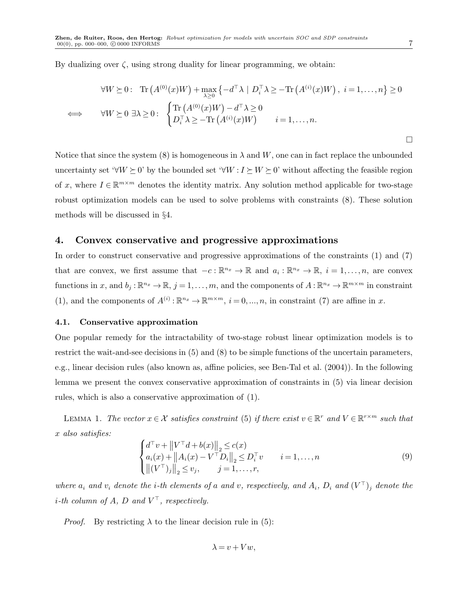By dualizing over  $\zeta$ , using strong duality for linear programming, we obtain:

$$
\forall W \succeq 0: \text{Tr}\left(A^{(0)}(x)W\right) + \max_{\lambda \ge 0} \{-d^{\top}\lambda \mid D_i^{\top}\lambda \ge -\text{Tr}\left(A^{(i)}(x)W\right), \ i = 1, \dots, n\} \ge 0
$$
  

$$
\iff \forall W \succeq 0 \ \exists \lambda \ge 0: \begin{cases} \text{Tr}\left(A^{(0)}(x)W\right) - d^{\top}\lambda \ge 0\\ D_i^{\top}\lambda \ge -\text{Tr}\left(A^{(i)}(x)W\right) \end{cases} \ i = 1, \dots, n.
$$

Notice that since the system (8) is homogeneous in  $\lambda$  and W, one can in fact replace the unbounded uncertainty set ' $\forall W \succeq 0$ ' by the bounded set ' $\forall W : I \succeq W \succeq 0$ ' without affecting the feasible region of x, where  $I \in \mathbb{R}^{m \times m}$  denotes the identity matrix. Any solution method applicable for two-stage robust optimization models can be used to solve problems with constraints (8). These solution methods will be discussed in §4.

## 4. Convex conservative and progressive approximations

In order to construct conservative and progressive approximations of the constraints (1) and (7) that are convex, we first assume that  $-c: \mathbb{R}^{n_x} \to \mathbb{R}$  and  $a_i: \mathbb{R}^{n_x} \to \mathbb{R}$ ,  $i = 1, ..., n$ , are convex functions in x, and  $b_j : \mathbb{R}^{n_x} \to \mathbb{R}$ ,  $j = 1, \ldots, m$ , and the components of  $A : \mathbb{R}^{n_x} \to \mathbb{R}^{m \times m}$  in constraint (1), and the components of  $A^{(i)} : \mathbb{R}^{n_x} \to \mathbb{R}^{m \times m}$ ,  $i = 0, ..., n$ , in constraint (7) are affine in x.

#### 4.1. Conservative approximation

One popular remedy for the intractability of two-stage robust linear optimization models is to restrict the wait-and-see decisions in (5) and (8) to be simple functions of the uncertain parameters, e.g., linear decision rules (also known as, affine policies, see Ben-Tal et al. (2004)). In the following lemma we present the convex conservative approximation of constraints in (5) via linear decision rules, which is also a conservative approximation of (1).

LEMMA 1. The vector  $x \in \mathcal{X}$  satisfies constraint (5) if there exist  $v \in \mathbb{R}^r$  and  $V \in \mathbb{R}^{r \times m}$  such that x also satisfies:

$$
\begin{cases} d^{\top}v + ||V^{\top}d + b(x)||_2 \le c(x) \\ a_i(x) + ||A_i(x) - V^{\top}D_i||_2 \le D_i^{\top}v \\ ||(V^{\top})_j||_2 \le v_j, \qquad j = 1, ..., r, \end{cases}
$$
(9)

where  $a_i$  and  $v_i$  denote the *i*-th elements of a and v, respectively, and  $A_i$ ,  $D_i$  and  $(V^{\top})_j$  denote the *i*-th column of A, D and  $V^{\top}$ , respectively.

*Proof.* By restricting  $\lambda$  to the linear decision rule in (5):

$$
\lambda = v + Vw,
$$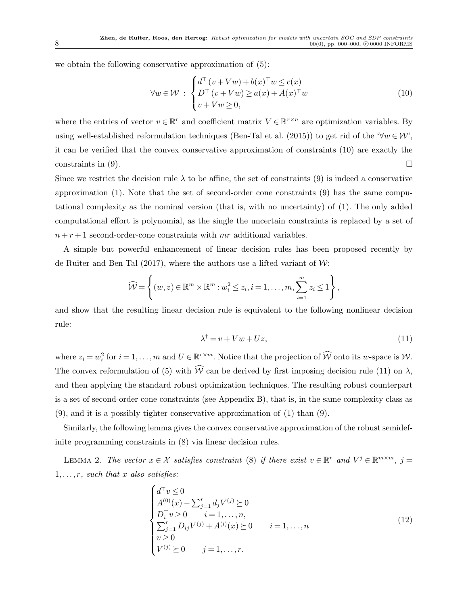we obtain the following conservative approximation of (5):

$$
\forall w \in \mathcal{W} : \begin{cases} d^{\top} (v + Vw) + b(x)^{\top} w \leq c(x) \\ D^{\top} (v + Vw) \geq a(x) + A(x)^{\top} w \\ v + Vw \geq 0, \end{cases}
$$
(10)

where the entries of vector  $v \in \mathbb{R}^r$  and coefficient matrix  $V \in \mathbb{R}^{r \times n}$  are optimization variables. By using well-established reformulation techniques (Ben-Tal et al. (2015)) to get rid of the ' $\forall w \in W'$ , it can be verified that the convex conservative approximation of constraints (10) are exactly the constraints in (9).  $\Box$ 

Since we restrict the decision rule  $\lambda$  to be affine, the set of constraints (9) is indeed a conservative approximation (1). Note that the set of second-order cone constraints (9) has the same computational complexity as the nominal version (that is, with no uncertainty) of (1). The only added computational effort is polynomial, as the single the uncertain constraints is replaced by a set of  $n + r + 1$  second-order-cone constraints with mr additional variables.

A simple but powerful enhancement of linear decision rules has been proposed recently by de Ruiter and Ben-Tal  $(2017)$ , where the authors use a lifted variant of W:

$$
\widehat{\mathcal{W}} = \left\{ (w, z) \in \mathbb{R}^m \times \mathbb{R}^m : w_i^2 \leq z_i, i = 1, \dots, m, \sum_{i=1}^m z_i \leq 1 \right\},\
$$

and show that the resulting linear decision rule is equivalent to the following nonlinear decision rule:

$$
\lambda^{\dagger} = v + Vw + Uz,\tag{11}
$$

where  $z_i = w_i^2$  for  $i = 1, ..., m$  and  $U \in \mathbb{R}^{r \times m}$ . Notice that the projection of  $\widehat{W}$  onto its w-space is  $W$ . The convex reformulation of (5) with  $\widehat{W}$  can be derived by first imposing decision rule (11) on  $\lambda$ , and then applying the standard robust optimization techniques. The resulting robust counterpart is a set of second-order cone constraints (see Appendix B), that is, in the same complexity class as (9), and it is a possibly tighter conservative approximation of (1) than (9).

Similarly, the following lemma gives the convex conservative approximation of the robust semidefinite programming constraints in (8) via linear decision rules.

LEMMA 2. The vector  $x \in \mathcal{X}$  satisfies constraint (8) if there exist  $v \in \mathbb{R}^r$  and  $V^j \in \mathbb{R}^{m \times m}$ ,  $j =$  $1, \ldots, r$ , such that x also satisfies:

$$
\begin{cases}\nd^{\top} v \le 0 \\
A^{(0)}(x) - \sum_{j=1}^{r} d_j V^{(j)} \ge 0 \\
D_i^{\top} v \ge 0 \qquad i = 1, ..., n, \\
\sum_{j=1}^{r} D_{ij} V^{(j)} + A^{(i)}(x) \ge 0 \qquad i = 1, ..., n \\
v \ge 0 \qquad \qquad i = 1, ..., n,\n\end{cases} (12)
$$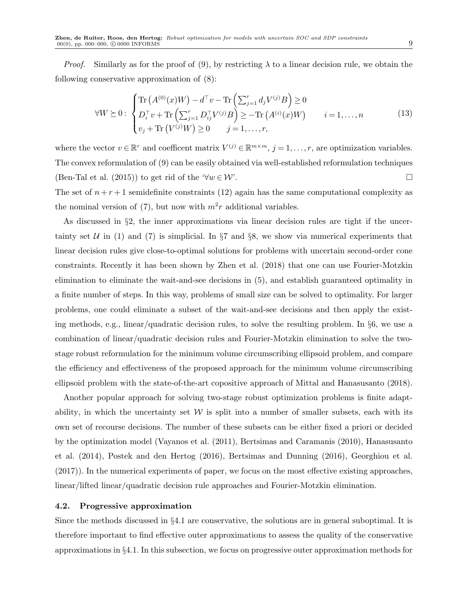*Proof.* Similarly as for the proof of (9), by restricting  $\lambda$  to a linear decision rule, we obtain the following conservative approximation of (8):

$$
\forall W \ge 0 : \begin{cases} \text{Tr}\left(A^{(0)}(x)W\right) - d^{\top}v - \text{Tr}\left(\sum_{j=1}^{r} d_{j}V^{(j)}B\right) \ge 0\\ D_{i}^{\top}v + \text{Tr}\left(\sum_{j=1}^{r} D_{ij}^{\top}V^{(j)}B\right) \ge -\text{Tr}\left(A^{(i)}(x)W\right) & i = 1,\dots,n\\ v_{j} + \text{Tr}\left(V^{(j)}W\right) \ge 0 & j = 1,\dots,r, \end{cases}
$$
(13)

where the vector  $v \in \mathbb{R}^r$  and coefficent matrix  $V^{(j)} \in \mathbb{R}^{m \times m}$ ,  $j = 1, \ldots, r$ , are optimization variables. The convex reformulation of (9) can be easily obtained via well-established reformulation techniques (Ben-Tal et al. (2015)) to get rid of the ' $\forall w \in \mathcal{W}'$ .

The set of  $n + r + 1$  semidefinite constraints (12) again has the same computational complexity as the nominal version of (7), but now with  $m^2r$  additional variables.

As discussed in §2, the inner approximations via linear decision rules are tight if the uncertainty set  $U$  in (1) and (7) is simplicial. In  $\S7$  and  $\S8$ , we show via numerical experiments that linear decision rules give close-to-optimal solutions for problems with uncertain second-order cone constraints. Recently it has been shown by Zhen et al. (2018) that one can use Fourier-Motzkin elimination to eliminate the wait-and-see decisions in (5), and establish guaranteed optimality in a finite number of steps. In this way, problems of small size can be solved to optimality. For larger problems, one could eliminate a subset of the wait-and-see decisions and then apply the existing methods, e.g., linear/quadratic decision rules, to solve the resulting problem. In §6, we use a combination of linear/quadratic decision rules and Fourier-Motzkin elimination to solve the twostage robust reformulation for the minimum volume circumscribing ellipsoid problem, and compare the efficiency and effectiveness of the proposed approach for the minimum volume circumscribing ellipsoid problem with the state-of-the-art copositive approach of Mittal and Hanasusanto (2018).

Another popular approach for solving two-stage robust optimization problems is finite adaptability, in which the uncertainty set  $W$  is split into a number of smaller subsets, each with its own set of recourse decisions. The number of these subsets can be either fixed a priori or decided by the optimization model (Vayanos et al. (2011), Bertsimas and Caramanis (2010), Hanasusanto et al. (2014), Postek and den Hertog (2016), Bertsimas and Dunning (2016), Georghiou et al. (2017)). In the numerical experiments of paper, we focus on the most effective existing approaches, linear/lifted linear/quadratic decision rule approaches and Fourier-Motzkin elimination.

#### 4.2. Progressive approximation

Since the methods discussed in §4.1 are conservative, the solutions are in general suboptimal. It is therefore important to find effective outer approximations to assess the quality of the conservative approximations in §4.1. In this subsection, we focus on progressive outer approximation methods for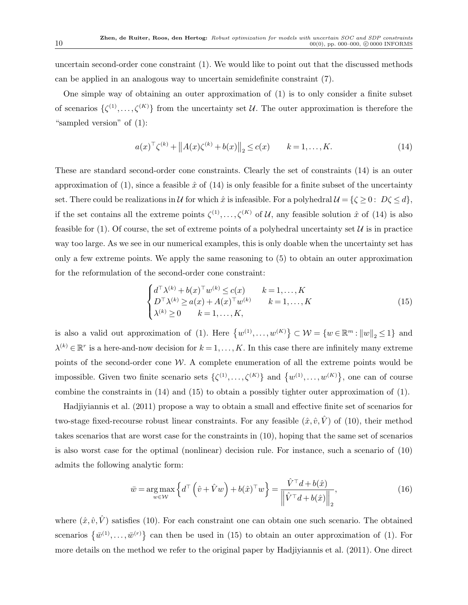uncertain second-order cone constraint (1). We would like to point out that the discussed methods can be applied in an analogous way to uncertain semidefinite constraint (7).

One simple way of obtaining an outer approximation of (1) is to only consider a finite subset of scenarios  $\{\zeta^{(1)},\ldots,\zeta^{(K)}\}$  from the uncertainty set U. The outer approximation is therefore the "sampled version" of (1):

$$
a(x)^{\top} \zeta^{(k)} + ||A(x)\zeta^{(k)} + b(x)||_2 \le c(x) \qquad k = 1, ..., K. \tag{14}
$$

These are standard second-order cone constraints. Clearly the set of constraints (14) is an outer approximation of (1), since a feasible  $\hat{x}$  of (14) is only feasible for a finite subset of the uncertainty set. There could be realizations in U for which  $\hat{x}$  is infeasible. For a polyhedral  $\mathcal{U} = \{\zeta \geq 0 : D\zeta \leq d\},\$ if the set contains all the extreme points  $\zeta^{(1)},\ldots,\zeta^{(K)}$  of U, any feasible solution  $\hat{x}$  of (14) is also feasible for (1). Of course, the set of extreme points of a polyhedral uncertainty set  $\mathcal U$  is in practice way too large. As we see in our numerical examples, this is only doable when the uncertainty set has only a few extreme points. We apply the same reasoning to (5) to obtain an outer approximation for the reformulation of the second-order cone constraint:

$$
\begin{cases} d^{\top} \lambda^{(k)} + b(x)^{\top} w^{(k)} \le c(x) & k = 1, ..., K \\ D^{\top} \lambda^{(k)} \ge a(x) + A(x)^{\top} w^{(k)} & k = 1, ..., K \\ \lambda^{(k)} \ge 0 & k = 1, ..., K, \end{cases}
$$
(15)

is also a valid out approximation of (1). Here  $\{w^{(1)}, \ldots, w^{(K)}\} \subset \mathcal{W} = \{w \in \mathbb{R}^m : ||w||_2 \leq 1\}$  and  $\lambda^{(k)} \in \mathbb{R}^r$  is a here-and-now decision for  $k = 1, \ldots, K$ . In this case there are infinitely many extreme points of the second-order cone  $W$ . A complete enumeration of all the extreme points would be impossible. Given two finite scenario sets  $\{\zeta^{(1)},\ldots,\zeta^{(K)}\}$  and  $\{w^{(1)},\ldots,w^{(K)}\}$ , one can of course combine the constraints in (14) and (15) to obtain a possibly tighter outer approximation of (1).

Hadjiyiannis et al. (2011) propose a way to obtain a small and effective finite set of scenarios for two-stage fixed-recourse robust linear constraints. For any feasible  $(\hat{x}, \hat{v}, \hat{V})$  of (10), their method takes scenarios that are worst case for the constraints in (10), hoping that the same set of scenarios is also worst case for the optimal (nonlinear) decision rule. For instance, such a scenario of (10) admits the following analytic form:

$$
\bar{w} = \underset{w \in \mathcal{W}}{\arg \max} \left\{ d^{\top} \left( \hat{v} + \hat{V}w \right) + b(\hat{x})^{\top}w \right\} = \frac{\hat{V}^{\top}d + b(\hat{x})}{\left\| \hat{V}^{\top}d + b(\hat{x}) \right\|_2},\tag{16}
$$

where  $(\hat{x}, \hat{v}, \hat{V})$  satisfies (10). For each constraint one can obtain one such scenario. The obtained scenarios  $\{\bar{w}^{(1)},\ldots,\bar{w}^{(r)}\}$  can then be used in (15) to obtain an outer approximation of (1). For more details on the method we refer to the original paper by Hadjiyiannis et al. (2011). One direct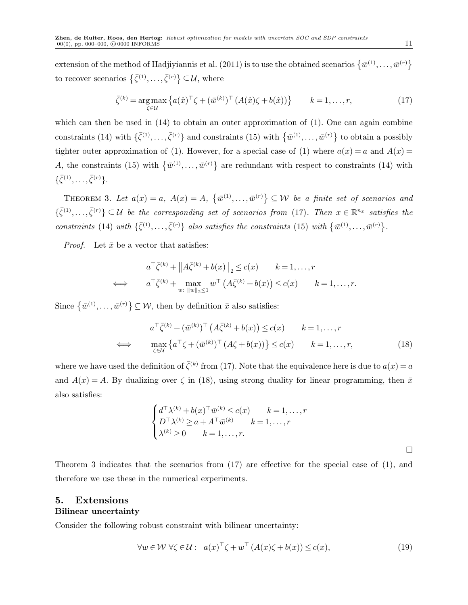extension of the method of Hadjiyiannis et al. (2011) is to use the obtained scenarios  $\{\bar{w}^{(1)},\ldots,\bar{w}^{(r)}\}$ to recover scenarios  $\{\bar{\zeta}^{(1)}, \ldots, \bar{\zeta}^{(r)}\} \subseteq \mathcal{U}$ , where

$$
\bar{\zeta}^{(k)} = \underset{\zeta \in \mathcal{U}}{\arg \max} \left\{ a(\hat{x})^{\top} \zeta + (\bar{w}^{(k)})^{\top} \left( A(\hat{x}) \zeta + b(\hat{x}) \right) \right\} \qquad k = 1, \dots, r,
$$
\n(17)

which can then be used in  $(14)$  to obtain an outer approximation of  $(1)$ . One can again combine constraints (14) with  $\{\bar{\zeta}^{(1)},\ldots,\bar{\zeta}^{(r)}\}$  and constraints (15) with  $\{\bar{w}^{(1)},\ldots,\bar{w}^{(r)}\}$  to obtain a possibly tighter outer approximation of (1). However, for a special case of (1) where  $a(x) = a$  and  $A(x) = a$ A, the constraints (15) with  $\{\bar{w}^{(1)},\ldots,\bar{w}^{(r)}\}$  are redundant with respect to constraints (14) with  $\{\bar{\zeta}^{(1)}, \ldots, \bar{\zeta}^{(r)}\}.$ 

THEOREM 3. Let  $a(x) = a$ ,  $A(x) = A$ ,  $\{\overline{w}^{(1)}, \ldots, \overline{w}^{(r)}\} \subseteq W$  be a finite set of scenarios and  $\{\bar{\zeta}^{(1)},\ldots,\bar{\zeta}^{(r)}\}\subseteq\mathcal{U}$  be the corresponding set of scenarios from (17). Then  $x\in\mathbb{R}^{n_x}$  satisfies the constraints (14) with  $\{\bar{\zeta}^{(1)},\ldots,\bar{\zeta}^{(r)}\}$  also satisfies the constraints (15) with  $\{\bar{w}^{(1)},\ldots,\bar{w}^{(r)}\}$ .

*Proof.* Let  $\bar{x}$  be a vector that satisfies:

$$
a^{\top} \bar{\zeta}^{(k)} + \|A \bar{\zeta}^{(k)} + b(x)\|_{2} \le c(x) \qquad k = 1, \dots, r
$$
  

$$
\iff a^{\top} \bar{\zeta}^{(k)} + \max_{w: \|w\|_{2} \le 1} w^{\top} (A \bar{\zeta}^{(k)} + b(x)) \le c(x) \qquad k = 1, \dots, r.
$$

Since  $\{\bar{w}^{(1)},\ldots,\bar{w}^{(r)}\}\subseteq\mathcal{W}$ , then by definition  $\bar{x}$  also satisfies:

$$
a^{\top} \bar{\zeta}^{(k)} + (\bar{w}^{(k)})^{\top} \left( A \bar{\zeta}^{(k)} + b(x) \right) \le c(x) \qquad k = 1, \dots, r
$$
  

$$
\iff \max_{\zeta \in \mathcal{U}} \left\{ a^{\top} \zeta + (\bar{w}^{(k)})^{\top} \left( A \zeta + b(x) \right) \right\} \le c(x) \qquad k = 1, \dots, r,
$$
 (18)

where we have used the definition of  $\bar{\zeta}^{(k)}$  from (17). Note that the equivalence here is due to  $a(x) = a$ and  $A(x) = A$ . By dualizing over  $\zeta$  in (18), using strong duality for linear programming, then  $\bar{x}$ also satisfies:

$$
\begin{cases} d^{\top} \lambda^{(k)} + b(x)^{\top} \bar{w}^{(k)} \le c(x) & k = 1, \dots, r \\ D^{\top} \lambda^{(k)} \ge a + A^{\top} \bar{w}^{(k)} & k = 1, \dots, r \\ \lambda^{(k)} \ge 0 & k = 1, \dots, r. \end{cases}
$$

 $\Box$ 

Theorem 3 indicates that the scenarios from (17) are effective for the special case of (1), and therefore we use these in the numerical experiments.

## 5. Extensions Bilinear uncertainty

Consider the following robust constraint with bilinear uncertainty:

$$
\forall w \in \mathcal{W} \ \forall \zeta \in \mathcal{U}: \ a(x)^{\top} \zeta + w^{\top} \left( A(x) \zeta + b(x) \right) \le c(x), \tag{19}
$$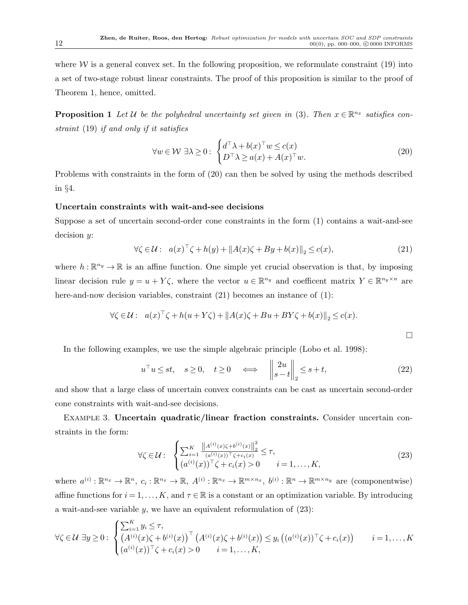where  $W$  is a general convex set. In the following proposition, we reformulate constraint (19) into a set of two-stage robust linear constraints. The proof of this proposition is similar to the proof of Theorem 1, hence, omitted.

**Proposition 1** Let U be the polyhedral uncertainty set given in (3). Then  $x \in \mathbb{R}^{n_x}$  satisfies constraint (19) if and only if it satisfies

$$
\forall w \in \mathcal{W} \; \exists \lambda \ge 0 : \begin{cases} d^{\top} \lambda + b(x)^{\top} w \le c(x) \\ D^{\top} \lambda \ge a(x) + A(x)^{\top} w. \end{cases} \tag{20}
$$

Problems with constraints in the form of (20) can then be solved by using the methods described in §4.

#### Uncertain constraints with wait-and-see decisions

Suppose a set of uncertain second-order cone constraints in the form (1) contains a wait-and-see decision y:

$$
\forall \zeta \in \mathcal{U}: \quad a(x)^{\top} \zeta + h(y) + \|A(x)\zeta + By + b(x)\|_2 \le c(x),\tag{21}
$$

where  $h: \mathbb{R}^{n_y} \to \mathbb{R}$  is an affine function. One simple yet crucial observation is that, by imposing linear decision rule  $y = u + Y\zeta$ , where the vector  $u \in \mathbb{R}^{n_y}$  and coefficent matrix  $Y \in \mathbb{R}^{n_y \times n}$  are here-and-now decision variables, constraint (21) becomes an instance of (1):

$$
\forall \zeta \in \mathcal{U}: \quad a(x)^{\top} \zeta + h(u + Y \zeta) + ||A(x)\zeta + Bu + BY\zeta + b(x)||_2 \le c(x).
$$

In the following examples, we use the simple algebraic principle (Lobo et al. 1998):

$$
u^{\top}u \le st, \quad s \ge 0, \quad t \ge 0 \quad \Longleftrightarrow \quad \left\| \begin{array}{c} 2u \\ s-t \end{array} \right\|_{2} \le s+t, \tag{22}
$$

and show that a large class of uncertain convex constraints can be cast as uncertain second-order cone constraints with wait-and-see decisions.

Example 3. Uncertain quadratic/linear fraction constraints. Consider uncertain constraints in the form:

$$
\forall \zeta \in \mathcal{U}: \begin{cases} \sum_{i=1}^{K} \frac{\left\| A^{(i)}(x)\zeta + b^{(i)}(x) \right\|_{2}^{2}}{(a^{(i)}(x))^{\top}\zeta + c_{i}(x)} \leq \tau, \\ (a^{(i)}(x))^{\top}\zeta + c_{i}(x) > 0 \qquad i = 1, \ldots, K, \end{cases} (23)
$$

where  $a^{(i)}: \mathbb{R}^{n_x} \to \mathbb{R}^n$ ,  $c_i: \mathbb{R}^{n_x} \to \mathbb{R}$ ,  $A^{(i)}: \mathbb{R}^{n_x} \to \mathbb{R}^{m \times n_x}$ ,  $b^{(i)}: \mathbb{R}^n \to \mathbb{R}^{m \times n_y}$  are (componentwise) affine functions for  $i = 1, \ldots, K$ , and  $\tau \in \mathbb{R}$  is a constant or an optimization variable. By introducing a wait-and-see variable  $y$ , we have an equivalent reformulation of  $(23)$ :

$$
\forall \zeta \in \mathcal{U} \; \exists y \geq 0 : \; \begin{cases} \sum_{i=1}^{K} y_i \leq \tau, \\ \left( A^{(i)}(x)\zeta + b^{(i)}(x) \right)^{\top} \left( A^{(i)}(x)\zeta + b^{(i)}(x) \right) \leq y_i \left( (a^{(i)}(x))^{\top} \zeta + c_i(x) \right) \\ (a^{(i)}(x))^{\top} \zeta + c_i(x) > 0 \qquad i = 1, \dots, K, \end{cases} \quad i = 1, \dots, K
$$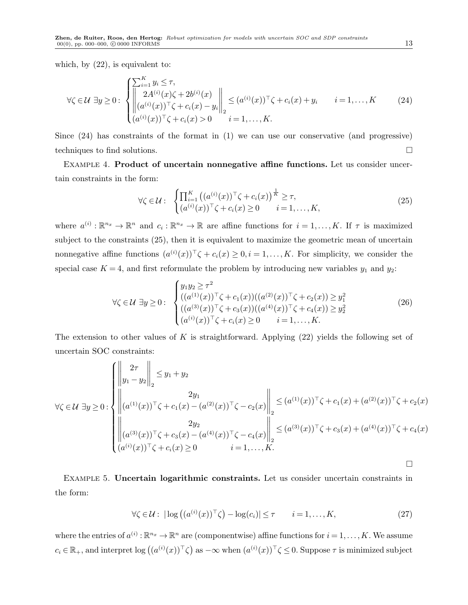which, by  $(22)$ , is equivalent to:

$$
\forall \zeta \in \mathcal{U} \; \exists y \geq 0 : \; \begin{cases} \sum_{i=1}^{K} y_i \leq \tau, \\ 2A^{(i)}(x)\zeta + 2b^{(i)}(x) \\ (a^{(i)}(x))^{\top}\zeta + c_i(x) - y_i \Big\|_2^{\top} \leq (a^{(i)}(x))^{\top}\zeta + c_i(x) + y_i \quad i = 1, ..., K \\ (a^{(i)}(x))^{\top}\zeta + c_i(x) > 0 \quad i = 1, ..., K. \end{cases} \tag{24}
$$

Since (24) has constraints of the format in (1) we can use our conservative (and progressive) techniques to find solutions.

Example 4. Product of uncertain nonnegative affine functions. Let us consider uncertain constraints in the form:

$$
\forall \zeta \in \mathcal{U}: \begin{cases} \prod_{i=1}^{K} \left( (a^{(i)}(x))^{\top} \zeta + c_i(x) \right)^{\frac{1}{K}} \geq \tau, \\ (a^{(i)}(x))^{\top} \zeta + c_i(x) \geq 0 \qquad i = 1, \dots, K, \end{cases} \tag{25}
$$

where  $a^{(i)}: \mathbb{R}^{n_x} \to \mathbb{R}^n$  and  $c_i: \mathbb{R}^{n_x} \to \mathbb{R}$  are affine functions for  $i = 1, ..., K$ . If  $\tau$  is maximized subject to the constraints (25), then it is equivalent to maximize the geometric mean of uncertain nonnegative affine functions  $(a^{(i)}(x))^{\top} \zeta + c_i(x) \geq 0, i = 1, \ldots, K$ . For simplicity, we consider the special case  $K = 4$ , and first reformulate the problem by introducing new variables  $y_1$  and  $y_2$ :

$$
\forall \zeta \in \mathcal{U} \; \exists y \geq 0 : \; \begin{cases} y_1 y_2 \geq \tau^2 \\ ((a^{(1)}(x))^{\top} \zeta + c_1(x))((a^{(2)}(x))^{\top} \zeta + c_2(x)) \geq y_1^2 \\ ((a^{(3)}(x))^{\top} \zeta + c_3(x))((a^{(4)}(x))^{\top} \zeta + c_4(x)) \geq y_2^2 \\ (a^{(i)}(x))^{\top} \zeta + c_i(x) \geq 0 \quad i = 1, ..., K. \end{cases} \tag{26}
$$

The extension to other values of K is straightforward. Applying  $(22)$  yields the following set of uncertain SOC constraints:

$$
\forall \zeta \in \mathcal{U} \exists y \geq 0 : \begin{cases} \left\| \begin{matrix} 2\tau \\ y_1 - y_2 \end{matrix} \right\|_2 \leq y_1 + y_2 \\ \left\| (a^{(1)}(x))^{\top} \zeta + c_1(x) - (a^{(2)}(x))^{\top} \zeta - c_2(x) \right\|_2 \leq (a^{(1)}(x))^{\top} \zeta + c_1(x) + (a^{(2)}(x))^{\top} \zeta + c_2(x) \\ 2y_2 \\ \left\| (a^{(3)}(x))^{\top} \zeta + c_3(x) - (a^{(4)}(x))^{\top} \zeta - c_4(x) \right\|_2 \leq (a^{(3)}(x))^{\top} \zeta + c_3(x) + (a^{(4)}(x))^{\top} \zeta + c_4(x) \\ (a^{(i)}(x))^{\top} \zeta + c_i(x) \geq 0 \end{cases}
$$

Example 5. Uncertain logarithmic constraints. Let us consider uncertain constraints in the form:

$$
\forall \zeta \in \mathcal{U}: \left| \log \left( (a^{(i)}(x))^\top \zeta \right) - \log(c_i) \right| \le \tau \qquad i = 1, \dots, K,
$$
\n(27)

where the entries of  $a^{(i)}: \mathbb{R}^{n_x} \to \mathbb{R}^n$  are (componentwise) affine functions for  $i = 1, ..., K$ . We assume  $c_i \in \mathbb{R}_+$ , and interpret  $\log ((a^{(i)}(x))^\top \zeta)$  as  $-\infty$  when  $(a^{(i)}(x))^\top \zeta \leq 0$ . Suppose  $\tau$  is minimized subject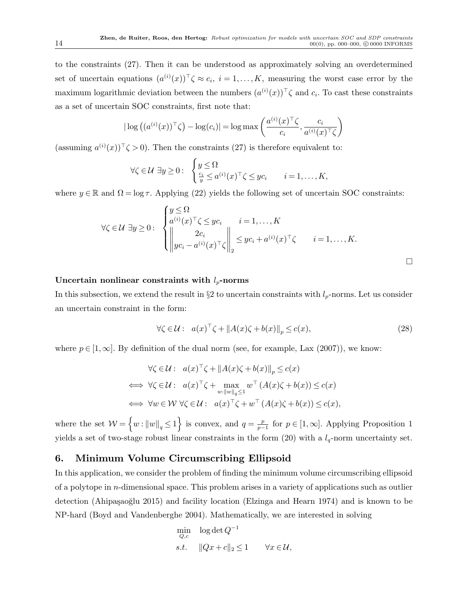to the constraints (27). Then it can be understood as approximately solving an overdetermined set of uncertain equations  $(a^{(i)}(x))^\top \zeta \approx c_i, i = 1,\ldots,K$ , measuring the worst case error by the maximum logarithmic deviation between the numbers  $(a^{(i)}(x))$ <sup>T</sup> $\zeta$  and  $c_i$ . To cast these constraints as a set of uncertain SOC constraints, first note that:

$$
|\log ((a^{(i)}(x))^{\top}\zeta) - \log(c_i)| = \log \max \left( \frac{a^{(i)}(x)^{\top}\zeta}{c_i}, \frac{c_i}{a^{(i)}(x)^{\top}\zeta} \right)
$$

 $(\text{assuming } a^{(i)}(x))^{\top} \zeta > 0$ . Then the constraints (27) is therefore equivalent to:

$$
\forall \zeta \in \mathcal{U} \; \exists y \geq 0: \; \begin{cases} y \leq \Omega \\ \frac{c_i}{y} \leq a^{(i)}(x)^\top \zeta \leq y c_i \quad i = 1, \dots, K, \end{cases}
$$

where  $y \in \mathbb{R}$  and  $\Omega = \log \tau$ . Applying (22) yields the following set of uncertain SOC constraints:

$$
\forall \zeta \in \mathcal{U} \; \exists y \geq 0 : \; \begin{cases} y \leq \Omega \\ a^{(i)}(x)^\top \zeta \leq yc_i & i = 1, \dots, K \\ \left\| \begin{array}{cc} 2c_i & i = 1, \dots, K \\ yc_i - a^{(i)}(x)^\top \zeta \end{array} \right\|_2 \leq yc_i + a^{(i)}(x)^\top \zeta & i = 1, \dots, K. \end{cases}
$$

 $\Box$ 

#### Uncertain nonlinear constraints with  $l_p$ -norms

In this subsection, we extend the result in  $\S 2$  to uncertain constraints with  $l_p$ -norms. Let us consider an uncertain constraint in the form:

$$
\forall \zeta \in \mathcal{U}: \quad a(x)^{\top} \zeta + \|A(x)\zeta + b(x)\|_{p} \le c(x),\tag{28}
$$

where  $p \in [1,\infty]$ . By definition of the dual norm (see, for example, Lax (2007)), we know:

$$
\forall \zeta \in \mathcal{U}: \quad a(x)^{\top} \zeta + \|A(x)\zeta + b(x)\|_{p} \le c(x)
$$
  

$$
\iff \forall \zeta \in \mathcal{U}: \quad a(x)^{\top} \zeta + \max_{w:\|w\|_{q} \le 1} w^{\top} (A(x)\zeta + b(x)) \le c(x)
$$
  

$$
\iff \forall w \in \mathcal{W} \ \forall \zeta \in \mathcal{U}: \quad a(x)^{\top} \zeta + w^{\top} (A(x)\zeta + b(x)) \le c(x),
$$

where the set  $W = \left\{ w : ||w||_q \leq 1 \right\}$  is convex, and  $q = \frac{p}{p-1}$  $\frac{p}{p-1}$  for  $p \in [1,\infty]$ . Applying Proposition 1 yields a set of two-stage robust linear constraints in the form (20) with a  $l_q$ -norm uncertainty set.

# 6. Minimum Volume Circumscribing Ellipsoid

In this application, we consider the problem of finding the minimum volume circumscribing ellipsoid of a polytope in n-dimensional space. This problem arises in a variety of applications such as outlier detection (Ahipaşaoğlu 2015) and facility location (Elzinga and Hearn 1974) and is known to be NP-hard (Boyd and Vandenberghe 2004). Mathematically, we are interested in solving

$$
\min_{Q,c} \quad \log \det Q^{-1}
$$
  
s.t. 
$$
||Qx + c||_2 \le 1 \qquad \forall x \in \mathcal{U},
$$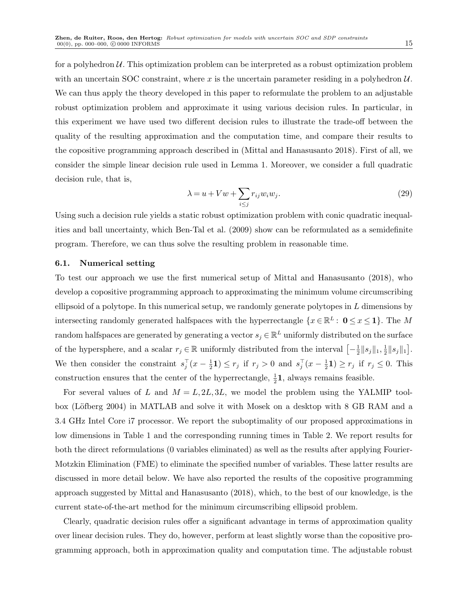for a polyhedron  $\mathcal U$ . This optimization problem can be interpreted as a robust optimization problem with an uncertain SOC constraint, where x is the uncertain parameter residing in a polyhedron  $U$ . We can thus apply the theory developed in this paper to reformulate the problem to an adjustable robust optimization problem and approximate it using various decision rules. In particular, in this experiment we have used two different decision rules to illustrate the trade-off between the quality of the resulting approximation and the computation time, and compare their results to the copositive programming approach described in (Mittal and Hanasusanto 2018). First of all, we consider the simple linear decision rule used in Lemma 1. Moreover, we consider a full quadratic decision rule, that is,

$$
\lambda = u + Vw + \sum_{i \le j} r_{ij} w_i w_j. \tag{29}
$$

Using such a decision rule yields a static robust optimization problem with conic quadratic inequalities and ball uncertainty, which Ben-Tal et al. (2009) show can be reformulated as a semidefinite program. Therefore, we can thus solve the resulting problem in reasonable time.

### 6.1. Numerical setting

To test our approach we use the first numerical setup of Mittal and Hanasusanto (2018), who develop a copositive programming approach to approximating the minimum volume circumscribing ellipsoid of a polytope. In this numerical setup, we randomly generate polytopes in L dimensions by intersecting randomly generated halfspaces with the hyperrectangle  $\{x \in \mathbb{R}^L : 0 \le x \le 1\}$ . The M random halfspaces are generated by generating a vector  $s_j \in \mathbb{R}^L$  uniformly distributed on the surface of the hypersphere, and a scalar  $r_j \in \mathbb{R}$  uniformly distributed from the interval  $\left[-\frac{1}{2}\right]$  $\frac{1}{2}$ || $s_j$ || $_1, \frac{1}{2}$  $\frac{1}{2} \|s_j\|_1 \Big].$ We then consider the constraint  $s_j^\top (x - \frac{1}{2})$  $(\frac{1}{2}\mathbf{1}) \leq r_j$  if  $r_j > 0$  and  $s_j^{\top}(x - \frac{1}{2})$  $(\frac{1}{2}\mathbf{1}) \geq r_j$  if  $r_j \leq 0$ . This construction ensures that the center of the hyperrectangle,  $\frac{1}{2}$ **1**, always remains feasible.

For several values of L and  $M = L, 2L, 3L$ , we model the problem using the YALMIP toolbox (Löfberg 2004) in MATLAB and solve it with Mosek on a desktop with 8 GB RAM and a 3.4 GHz Intel Core i7 processor. We report the suboptimality of our proposed approximations in low dimensions in Table 1 and the corresponding running times in Table 2. We report results for both the direct reformulations (0 variables eliminated) as well as the results after applying Fourier-Motzkin Elimination (FME) to eliminate the specified number of variables. These latter results are discussed in more detail below. We have also reported the results of the copositive programming approach suggested by Mittal and Hanasusanto (2018), which, to the best of our knowledge, is the current state-of-the-art method for the minimum circumscribing ellipsoid problem.

Clearly, quadratic decision rules offer a significant advantage in terms of approximation quality over linear decision rules. They do, however, perform at least slightly worse than the copositive programming approach, both in approximation quality and computation time. The adjustable robust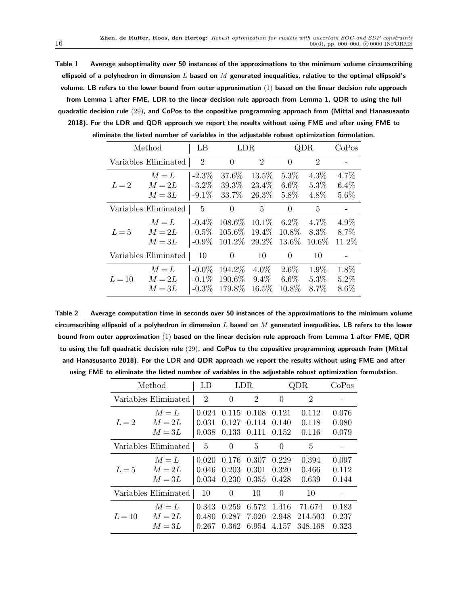Table 1 Average suboptimality over 50 instances of the approximations to the minimum volume circumscribing ellipsoid of a polyhedron in dimension L based on M generated inequalities, relative to the optimal ellipsoid's volume. LB refers to the lower bound from outer approximation (1) based on the linear decision rule approach

from Lemma 1 after FME, LDR to the linear decision rule approach from Lemma 1, QDR to using the full quadratic decision rule (29), and CoPos to the copositive programming approach from (Mittal and Hanasusanto 2018). For the LDR and QDR approach we report the results without using FME and after using FME to eliminate the listed number of variables in the adjustable robust optimization formulation.

|        | Method                          | LB                               | LDR.                         |                                | QDR                         |                             | CoPos                      |
|--------|---------------------------------|----------------------------------|------------------------------|--------------------------------|-----------------------------|-----------------------------|----------------------------|
|        | Variables Eliminated            | $\overline{2}$                   | $\theta$                     | $\overline{2}$                 | $\theta$                    | $\overline{2}$              |                            |
| $L=2$  | $M = L$<br>$M = 2L$<br>$M = 3L$ | $-2.3\%$<br>$-3.2\%$<br>$-9.1\%$ | 37.6%<br>39.3%<br>33.7%      | 13.5%<br>23.4%<br>26.3%        | 5.3%<br>$6.6\%$<br>5.8%     | $4.3\%$<br>$5.3\%$<br>4.8%  | 4.7%<br>$6.4\%$<br>5.6%    |
|        | Variables Eliminated            | 5                                | $\theta$                     | 5                              | $\Omega$                    | 5                           |                            |
| $L=5$  | $M = L$<br>$M = 2L$<br>$M = 3L$ | $-0.4\%$<br>$-0.5\%$<br>$-0.9\%$ | 108.6%<br>105.6\%<br>101.2\% | $10.1\%$<br>19.4%<br>29.2%     | $6.2\%$<br>10.8%<br>13.6%   | 4.7\%<br>$8.3\%$<br>10.6%   | $4.9\%$<br>8.7%<br>11.2%   |
|        | Variables Eliminated            | 10                               | $\Omega$                     | 10                             | $\Omega$                    | 10                          |                            |
| $L=10$ | $M = L$<br>$M = 2L$<br>$M = 3L$ | $-0.0\%$<br>$-0.1\%$<br>$-0.3\%$ | 194.2\%<br>190.6%<br>179.8%  | $4.0\%$<br>$9.4\%$<br>$16.5\%$ | $2.6\%$<br>$6.6\%$<br>10.8% | $1.9\%$<br>$5.3\%$<br>8.7\% | 1.8%<br>$5.2\%$<br>$8.6\%$ |

Table 2 Average computation time in seconds over 50 instances of the approximations to the minimum volume circumscribing ellipsoid of a polyhedron in dimension  $L$  based on  $M$  generated inequalities. LB refers to the lower bound from outer approximation (1) based on the linear decision rule approach from Lemma 1 after FME, QDR to using the full quadratic decision rule (29), and CoPos to the copositive programming approach from (Mittal and Hanasusanto 2018). For the LDR and QDR approach we report the results without using FME and after using FME to eliminate the listed number of variables in the adjustable robust optimization formulation.

| Method               |                                 | LB                      | LDR                     |                         | QDR                     |                              | CoPos                   |
|----------------------|---------------------------------|-------------------------|-------------------------|-------------------------|-------------------------|------------------------------|-------------------------|
|                      | Variables Eliminated            | $\overline{2}$          | $\Omega$                | $\overline{2}$          | 0                       | $\overline{2}$               |                         |
| $L=2$                | $M = L$<br>$M = 2L$<br>$M = 3L$ | 0.024<br>0.031<br>0.038 | 0.115<br>0.127<br>0.133 | 0.108<br>0.114<br>0.111 | 0.121<br>0.140<br>0.152 | 0.112<br>0.118<br>0.116      | 0.076<br>0.080<br>0.079 |
| Variables Eliminated |                                 | 5                       | $\theta$                | 5                       | $\Omega$                | 5                            |                         |
| $L=5$                | $M = L$<br>$M = 2L$<br>$M = 3L$ | 0.020<br>0.046<br>0.034 | 0.176<br>0.203<br>0.230 | 0.307<br>0.301<br>0.355 | 0.229<br>0.320<br>0.428 | 0.394<br>0.466<br>0.639      | 0.097<br>0.112<br>0.144 |
| Variables Eliminated |                                 | 10                      | $\theta$                | 10                      | $\Omega$                | 10                           |                         |
| $L=10$               | $M = L$<br>$M = 2L$<br>$M = 3L$ | 0.343<br>0.480<br>0.267 | 0.259<br>0.287<br>0.362 | 6.572<br>7.020<br>6.954 | 1.416<br>2.948<br>4.157 | 71.674<br>214.503<br>348.168 | 0.183<br>0.237<br>0.323 |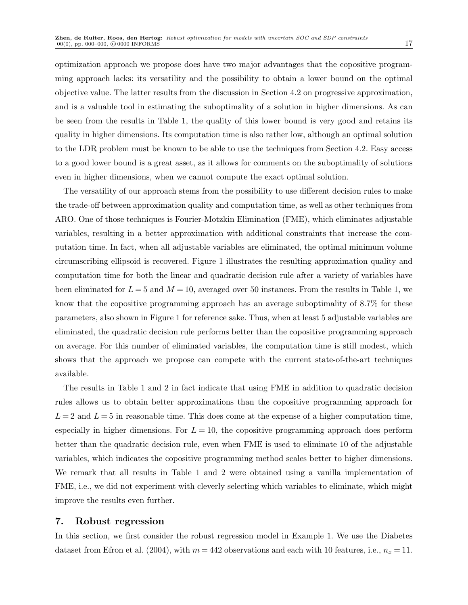optimization approach we propose does have two major advantages that the copositive programming approach lacks: its versatility and the possibility to obtain a lower bound on the optimal objective value. The latter results from the discussion in Section 4.2 on progressive approximation, and is a valuable tool in estimating the suboptimality of a solution in higher dimensions. As can be seen from the results in Table 1, the quality of this lower bound is very good and retains its quality in higher dimensions. Its computation time is also rather low, although an optimal solution to the LDR problem must be known to be able to use the techniques from Section 4.2. Easy access to a good lower bound is a great asset, as it allows for comments on the suboptimality of solutions even in higher dimensions, when we cannot compute the exact optimal solution.

The versatility of our approach stems from the possibility to use different decision rules to make the trade-off between approximation quality and computation time, as well as other techniques from ARO. One of those techniques is Fourier-Motzkin Elimination (FME), which eliminates adjustable variables, resulting in a better approximation with additional constraints that increase the computation time. In fact, when all adjustable variables are eliminated, the optimal minimum volume circumscribing ellipsoid is recovered. Figure 1 illustrates the resulting approximation quality and computation time for both the linear and quadratic decision rule after a variety of variables have been eliminated for  $L = 5$  and  $M = 10$ , averaged over 50 instances. From the results in Table 1, we know that the copositive programming approach has an average suboptimality of 8.7% for these parameters, also shown in Figure 1 for reference sake. Thus, when at least 5 adjustable variables are eliminated, the quadratic decision rule performs better than the copositive programming approach on average. For this number of eliminated variables, the computation time is still modest, which shows that the approach we propose can compete with the current state-of-the-art techniques available.

The results in Table 1 and 2 in fact indicate that using FME in addition to quadratic decision rules allows us to obtain better approximations than the copositive programming approach for  $L = 2$  and  $L = 5$  in reasonable time. This does come at the expense of a higher computation time, especially in higher dimensions. For  $L = 10$ , the copositive programming approach does perform better than the quadratic decision rule, even when FME is used to eliminate 10 of the adjustable variables, which indicates the copositive programming method scales better to higher dimensions. We remark that all results in Table 1 and 2 were obtained using a vanilla implementation of FME, i.e., we did not experiment with cleverly selecting which variables to eliminate, which might improve the results even further.

## 7. Robust regression

In this section, we first consider the robust regression model in Example 1. We use the Diabetes dataset from Efron et al. (2004), with  $m = 442$  observations and each with 10 features, i.e.,  $n_x = 11$ .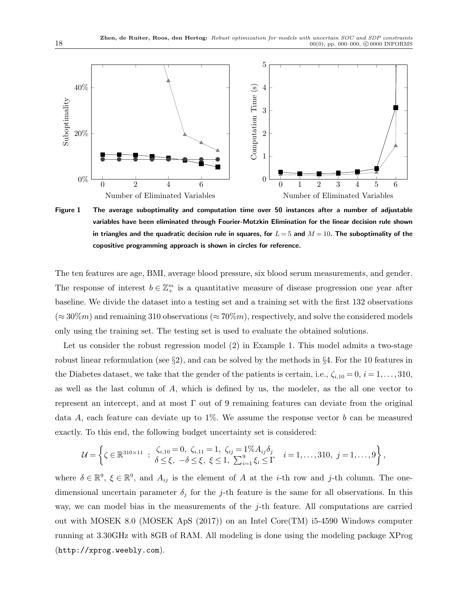

Figure 1 The average suboptimality and computation time over 50 instances after a number of adjustable variables have been eliminated through Fourier-Motzkin Elimination for the linear decision rule shown in triangles and the quadratic decision rule in squares, for  $L = 5$  and  $M = 10$ . The suboptimality of the copositive programming approach is shown in circles for reference.

The ten features are age, BMI, average blood pressure, six blood serum measurements, and gender. The response of interest  $b \in \mathbb{Z}_+^m$  is a quantitative measure of disease progression one year after baseline. We divide the dataset into a testing set and a training set with the first 132 observations  $(\approx 30\%m)$  and remaining 310 observations  $(\approx 70\%m)$ , respectively, and solve the considered models only using the training set. The testing set is used to evaluate the obtained solutions.

Let us consider the robust regression model (2) in Example 1. This model admits a two-stage robust linear reformulation (see  $\S2$ ), and can be solved by the methods in  $\S4$ . For the 10 features in the Diabetes dataset, we take that the gender of the patients is certain, i.e.,  $\zeta_{i,10} = 0$ ,  $i = 1,\ldots,310$ , as well as the last column of A, which is defined by us, the modeler, as the all one vector to represent an intercept, and at most  $\Gamma$  out of 9 remaining features can deviate from the original data A, each feature can deviate up to  $1\%$ . We assume the response vector b can be measured exactly. To this end, the following budget uncertainty set is considered:

$$
\mathcal{U} = \left\{ \zeta \in \mathbb{R}^{310 \times 11} : \begin{array}{l} \zeta_{i,10} = 0, \ \zeta_{i,11} = 1, \ \zeta_{ij} = 1\% A_{ij} \delta_j \\ \delta \le \xi, \ -\delta \le \xi, \ \xi \le 1, \ \sum_{i=1}^9 \xi_i \le \Gamma \end{array} \right. \quad i = 1, \dots, 310, \ j = 1, \dots, 9 \right\},
$$

where  $\delta \in \mathbb{R}^9$ ,  $\xi \in \mathbb{R}^9$ , and  $A_{ij}$  is the element of A at the *i*-th row and j-th column. The onedimensional uncertain parameter  $\delta_j$  for the j-th feature is the same for all observations. In this way, we can model bias in the measurements of the j-th feature. All computations are carried out with MOSEK 8.0 (MOSEK ApS (2017)) on an Intel Core(TM) i5-4590 Windows computer running at 3.30GHz with 8GB of RAM. All modeling is done using the modeling package XProg (http://xprog.weebly.com).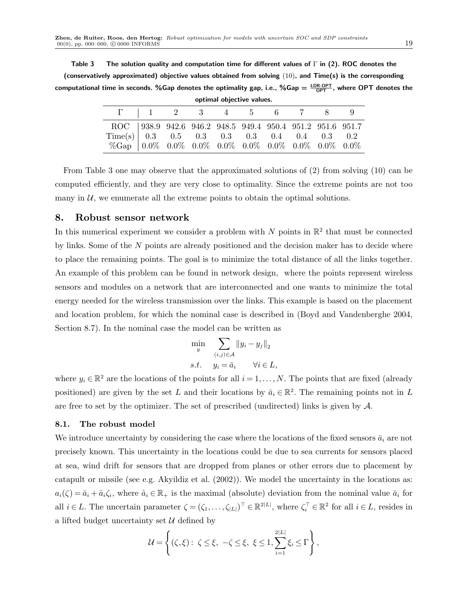Table 3 The solution quality and computation time for different values of  $\Gamma$  in (2). ROC denotes the (conservatively approximated) objective values obtained from solving  $(10)$ , and Time(s) is the corresponding computational time in seconds. %Gap denotes the optimality gap, i.e., %Gap  $=\frac{\textsf{LDR-OPT}}{\textsf{OPT}}$ , where  $\textsf{OPT}$  denotes the optimal objective values.

| <b>Optimal Opicclive values.</b>                                                                                                                                                                                                                                                     |  |                              |  |  |  |  |  |  |  |
|--------------------------------------------------------------------------------------------------------------------------------------------------------------------------------------------------------------------------------------------------------------------------------------|--|------------------------------|--|--|--|--|--|--|--|
|                                                                                                                                                                                                                                                                                      |  | $\Gamma$   1 2 3 4 5 6 7 8 9 |  |  |  |  |  |  |  |
| ROC   938.9 942.6 946.2 948.5 949.4 950.4 951.2 951.6 951.7<br>$\begin{tabular}{c cccccc} Time(s) & 0.3 & 0.5 & 0.3 & 0.3 & 0.3 & 0.4 & 0.4 & 0.3 & 0.2 \\ $\% \text{Gap} $ & 0.0\% $ & 0.0\% $ & 0.0\% $ & 0.0\% $ & 0.0\% $ & 0.0\% $ & 0.0\% $ & 0.0\% $ & 0.0\% $ \end{tabular}$ |  |                              |  |  |  |  |  |  |  |

From Table 3 one may observe that the approximated solutions of (2) from solving (10) can be computed efficiently, and they are very close to optimality. Since the extreme points are not too many in  $U$ , we enumerate all the extreme points to obtain the optimal solutions.

## 8. Robust sensor network

In this numerical experiment we consider a problem with N points in  $\mathbb{R}^2$  that must be connected by links. Some of the  $N$  points are already positioned and the decision maker has to decide where to place the remaining points. The goal is to minimize the total distance of all the links together. An example of this problem can be found in network design, where the points represent wireless sensors and modules on a network that are interconnected and one wants to minimize the total energy needed for the wireless transmission over the links. This example is based on the placement and location problem, for which the nominal case is described in (Boyd and Vandenberghe 2004, Section 8.7). In the nominal case the model can be written as

$$
\min_{y} \sum_{(i,j)\in\mathcal{A}} ||y_i - y_j||_2
$$
  
s.t.  $y_i = \bar{a}_i \quad \forall i \in L,$ 

where  $y_i \in \mathbb{R}^2$  are the locations of the points for all  $i = 1, ..., N$ . The points that are fixed (already positioned) are given by the set L and their locations by  $\bar{a}_i \in \mathbb{R}^2$ . The remaining points not in L are free to set by the optimizer. The set of prescribed (undirected) links is given by A.

## 8.1. The robust model

We introduce uncertainty by considering the case where the locations of the fixed sensors  $\bar{a}_i$  are not precisely known. This uncertainty in the locations could be due to sea currents for sensors placed at sea, wind drift for sensors that are dropped from planes or other errors due to placement by catapult or missile (see e.g. Akyildiz et al. (2002)). We model the uncertainty in the locations as:  $a_i(\zeta) = \bar{a}_i + \hat{a}_i\zeta_i$ , where  $\hat{a}_i \in \mathbb{R}_+$  is the maximal (absolute) deviation from the nominal value  $\bar{a}_i$  for all  $i \in L$ . The uncertain parameter  $\zeta = (\zeta_1, \ldots, \zeta_{|L|})^{\top} \in \mathbb{R}^{2|L|}$ , where  $\zeta_i^{\top} \in \mathbb{R}^2$  for all  $i \in L$ , resides in a lifted budget uncertainty set  $\mathcal U$  defined by

$$
\mathcal{U} = \left\{ (\zeta, \xi) : \ \zeta \leq \xi, \ -\zeta \leq \xi, \ \xi \leq 1, \sum_{i=1}^{2|L|} \xi_i \leq \Gamma \right\},\
$$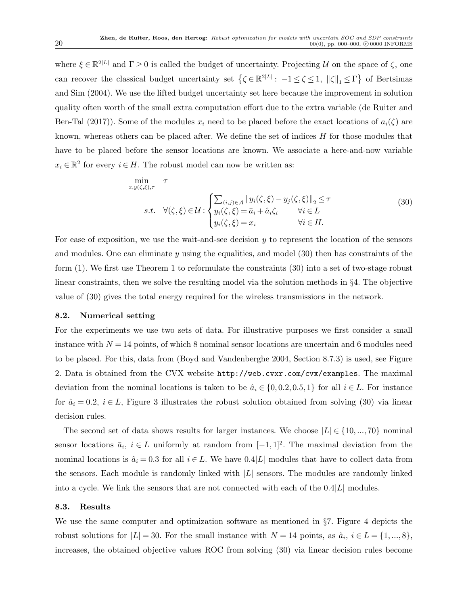where  $\xi \in \mathbb{R}^{2|L|}$  and  $\Gamma \geq 0$  is called the budget of uncertainty. Projecting U on the space of  $\zeta$ , one can recover the classical budget uncertainty set  $\{ \zeta \in \mathbb{R}^{2|L|}: -1 \leq \zeta \leq 1, ||\zeta||_1 \leq \Gamma \}$  of Bertsimas and Sim (2004). We use the lifted budget uncertainty set here because the improvement in solution quality often worth of the small extra computation effort due to the extra variable (de Ruiter and Ben-Tal (2017)). Some of the modules  $x_i$  need to be placed before the exact locations of  $a_i(\zeta)$  are known, whereas others can be placed after. We define the set of indices H for those modules that have to be placed before the sensor locations are known. We associate a here-and-now variable  $x_i \in \mathbb{R}^2$  for every  $i \in H$ . The robust model can now be written as:

$$
\min_{x,y(\zeta,\xi),\tau} \tau
$$
\n
$$
s.t. \forall (\zeta,\xi) \in \mathcal{U} : \begin{cases} \sum_{(i,j)\in\mathcal{A}} \|y_i(\zeta,\xi) - y_j(\zeta,\xi)\|_2 \leq \tau \\ y_i(\zeta,\xi) = \bar{a}_i + \hat{a}_i\zeta_i & \forall i \in L \\ y_i(\zeta,\xi) = x_i & \forall i \in H. \end{cases} \tag{30}
$$

For ease of exposition, we use the wait-and-see decision  $y$  to represent the location of the sensors and modules. One can eliminate  $y$  using the equalities, and model  $(30)$  then has constraints of the form (1). We first use Theorem 1 to reformulate the constraints (30) into a set of two-stage robust linear constraints, then we solve the resulting model via the solution methods in §4. The objective value of (30) gives the total energy required for the wireless transmissions in the network.

#### 8.2. Numerical setting

For the experiments we use two sets of data. For illustrative purposes we first consider a small instance with  $N = 14$  points, of which 8 nominal sensor locations are uncertain and 6 modules need to be placed. For this, data from (Boyd and Vandenberghe 2004, Section 8.7.3) is used, see Figure 2. Data is obtained from the CVX website http://web.cvxr.com/cvx/examples. The maximal deviation from the nominal locations is taken to be  $\hat{a}_i \in \{0, 0.2, 0.5, 1\}$  for all  $i \in L$ . For instance for  $\hat{a}_i = 0.2$ ,  $i \in L$ , Figure 3 illustrates the robust solution obtained from solving (30) via linear decision rules.

The second set of data shows results for larger instances. We choose  $|L| \in \{10, ..., 70\}$  nominal sensor locations  $\bar{a}_i$ ,  $i \in L$  uniformly at random from  $[-1,1]^2$ . The maximal deviation from the nominal locations is  $\hat{a}_i = 0.3$  for all  $i \in L$ . We have 0.4|L| modules that have to collect data from the sensors. Each module is randomly linked with  $|L|$  sensors. The modules are randomly linked into a cycle. We link the sensors that are not connected with each of the  $0.4|L|$  modules.

#### 8.3. Results

We use the same computer and optimization software as mentioned in §7. Figure 4 depicts the robust solutions for  $|L| = 30$ . For the small instance with  $N = 14$  points, as  $\hat{a}_i$ ,  $i \in L = \{1, ..., 8\}$ , increases, the obtained objective values ROC from solving (30) via linear decision rules become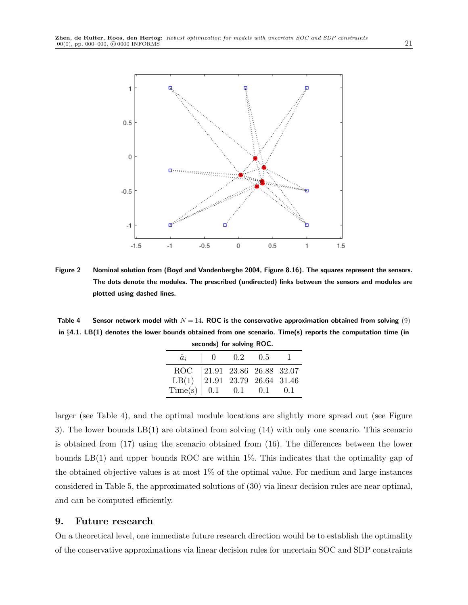

Figure 2 Nominal solution from (Boyd and Vandenberghe 2004, Figure 8.16). The squares represent the sensors. The dots denote the modules. The prescribed (undirected) links between the sensors and modules are plotted using dashed lines.

Table 4 Sensor network model with  $N = 14$ . ROC is the conservative approximation obtained from solving (9) in §4.1. LB(1) denotes the lower bounds obtained from one scenario. Time(s) reports the computation time (in seconds) for solving ROC.

|                                                                                                                                  | $33331140$ , $3313111$ , $33131$                  |  |              |
|----------------------------------------------------------------------------------------------------------------------------------|---------------------------------------------------|--|--------------|
| $\hat{a}_i$                                                                                                                      | $\begin{array}{cccc} & 0 & 0.2 & 0.5 \end{array}$ |  | $\mathbf{L}$ |
| $\begin{array}{c cccccc} \text{ROC} & 21.91 & 23.86 & 26.88 & 32.07 \\ \text{LB(1)} & 21.91 & 23.79 & 26.64 & 31.46 \end{array}$ |                                                   |  |              |
| LB(1)                                                                                                                            |                                                   |  |              |
| $Time(s)$ 0.1 0.1 0.1 0.1                                                                                                        |                                                   |  |              |

larger (see Table 4), and the optimal module locations are slightly more spread out (see Figure 3). The lower bounds LB(1) are obtained from solving (14) with only one scenario. This scenario is obtained from (17) using the scenario obtained from (16). The differences between the lower bounds LB(1) and upper bounds ROC are within 1%. This indicates that the optimality gap of the obtained objective values is at most 1% of the optimal value. For medium and large instances considered in Table 5, the approximated solutions of (30) via linear decision rules are near optimal, and can be computed efficiently.

## 9. Future research

On a theoretical level, one immediate future research direction would be to establish the optimality of the conservative approximations via linear decision rules for uncertain SOC and SDP constraints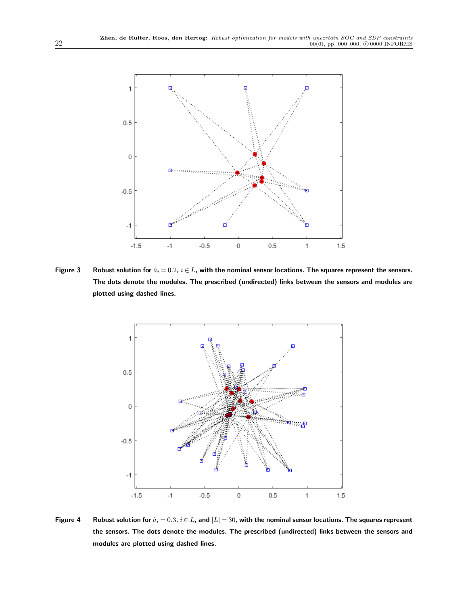

Figure 3 Robust solution for  $\hat{a}_i = 0.2$ ,  $i \in L$ , with the nominal sensor locations. The squares represent the sensors. The dots denote the modules. The prescribed (undirected) links between the sensors and modules are plotted using dashed lines.



Figure 4 Robust solution for  $\hat{a}_i = 0.3$ ,  $i \in L$ , and  $|L| = 30$ , with the nominal sensor locations. The squares represent the sensors. The dots denote the modules. The prescribed (undirected) links between the sensors and modules are plotted using dashed lines.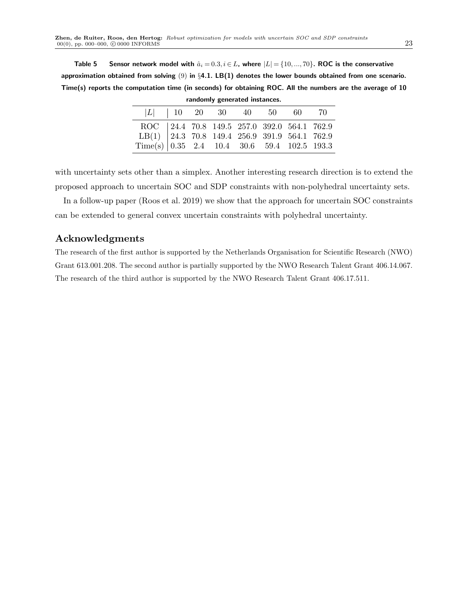Table 5 Sensor network model with  $\hat{a}_i = 0.3, i \in L$ , where  $|L| = \{10, ..., 70\}$ . ROC is the conservative approximation obtained from solving  $(9)$  in  $\S 4.1$ . LB(1) denotes the lower bounds obtained from one scenario. Time(s) reports the computation time (in seconds) for obtaining ROC. All the numbers are the average of 10

| randomly generated instances.                                                                                                                                                                                                                    |  |  |                              |  |  |  |  |
|--------------------------------------------------------------------------------------------------------------------------------------------------------------------------------------------------------------------------------------------------|--|--|------------------------------|--|--|--|--|
|                                                                                                                                                                                                                                                  |  |  | $ L $   10 20 30 40 50 60 70 |  |  |  |  |
|                                                                                                                                                                                                                                                  |  |  |                              |  |  |  |  |
|                                                                                                                                                                                                                                                  |  |  |                              |  |  |  |  |
| $\begin{tabular}{c cccccc} ROC & 24.4 & 70.8 & 149.5 & 257.0 & 392.0 & 564.1 & 762.9 \\ \text{LB(1)} & 24.3 & 70.8 & 149.4 & 256.9 & 391.9 & 564.1 & 762.9 \\ \text{Time(s)} & 0.35 & 2.4 & 10.4 & 30.6 & 59.4 & 102.5 & 193.3 \\ \end{tabular}$ |  |  |                              |  |  |  |  |

with uncertainty sets other than a simplex. Another interesting research direction is to extend the proposed approach to uncertain SOC and SDP constraints with non-polyhedral uncertainty sets.

In a follow-up paper (Roos et al. 2019) we show that the approach for uncertain SOC constraints can be extended to general convex uncertain constraints with polyhedral uncertainty.

# Acknowledgments

The research of the first author is supported by the Netherlands Organisation for Scientific Research (NWO) Grant 613.001.208. The second author is partially supported by the NWO Research Talent Grant 406.14.067. The research of the third author is supported by the NWO Research Talent Grant 406.17.511.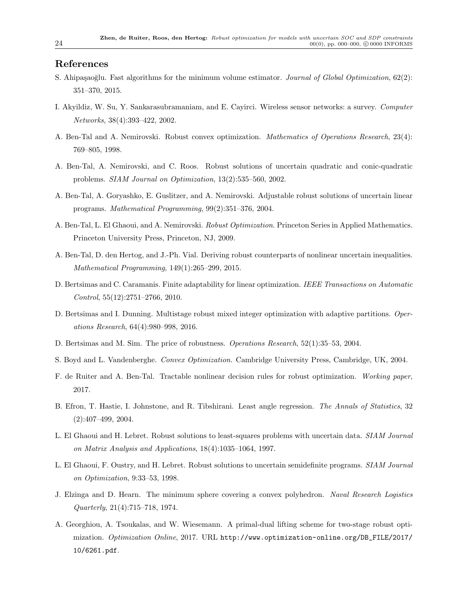## References

- S. Ahipaşaoğlu. Fast algorithms for the minimum volume estimator. Journal of Global Optimization, 62(2): 351–370, 2015.
- I. Akyildiz, W. Su, Y. Sankarasubramaniam, and E. Cayirci. Wireless sensor networks: a survey. Computer Networks, 38(4):393–422, 2002.
- A. Ben-Tal and A. Nemirovski. Robust convex optimization. Mathematics of Operations Research, 23(4): 769–805, 1998.
- A. Ben-Tal, A. Nemirovski, and C. Roos. Robust solutions of uncertain quadratic and conic-quadratic problems. SIAM Journal on Optimization, 13(2):535–560, 2002.
- A. Ben-Tal, A. Goryashko, E. Guslitzer, and A. Nemirovski. Adjustable robust solutions of uncertain linear programs. Mathematical Programming, 99(2):351–376, 2004.
- A. Ben-Tal, L. El Ghaoui, and A. Nemirovski. Robust Optimization. Princeton Series in Applied Mathematics. Princeton University Press, Princeton, NJ, 2009.
- A. Ben-Tal, D. den Hertog, and J.-Ph. Vial. Deriving robust counterparts of nonlinear uncertain inequalities. Mathematical Programming, 149(1):265–299, 2015.
- D. Bertsimas and C. Caramanis. Finite adaptability for linear optimization. IEEE Transactions on Automatic Control, 55(12):2751–2766, 2010.
- D. Bertsimas and I. Dunning. Multistage robust mixed integer optimization with adaptive partitions. Operations Research, 64(4):980–998, 2016.
- D. Bertsimas and M. Sim. The price of robustness. Operations Research, 52(1):35–53, 2004.
- S. Boyd and L. Vandenberghe. Convex Optimization. Cambridge University Press, Cambridge, UK, 2004.
- F. de Ruiter and A. Ben-Tal. Tractable nonlinear decision rules for robust optimization. Working paper, 2017.
- B. Efron, T. Hastie, I. Johnstone, and R. Tibshirani. Least angle regression. The Annals of Statistics, 32 (2):407–499, 2004.
- L. El Ghaoui and H. Lebret. Robust solutions to least-squares problems with uncertain data. SIAM Journal on Matrix Analysis and Applications, 18(4):1035–1064, 1997.
- L. El Ghaoui, F. Oustry, and H. Lebret. Robust solutions to uncertain semidefinite programs. SIAM Journal on Optimization, 9:33–53, 1998.
- J. Elzinga and D. Hearn. The minimum sphere covering a convex polyhedron. Naval Research Logistics Quarterly, 21(4):715–718, 1974.
- A. Georghiou, A. Tsoukalas, and W. Wiesemann. A primal-dual lifting scheme for two-stage robust optimization. Optimization Online, 2017. URL http://www.optimization-online.org/DB\_FILE/2017/ 10/6261.pdf.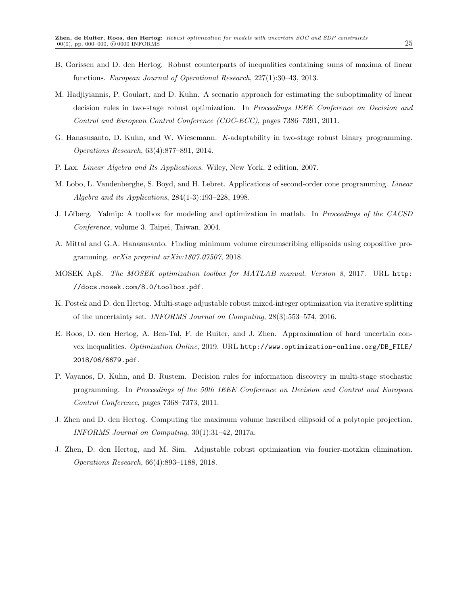- B. Gorissen and D. den Hertog. Robust counterparts of inequalities containing sums of maxima of linear functions. European Journal of Operational Research, 227(1):30–43, 2013.
- M. Hadjiyiannis, P. Goulart, and D. Kuhn. A scenario approach for estimating the suboptimality of linear decision rules in two-stage robust optimization. In *Proceedings IEEE Conference on Decision and* Control and European Control Conference (CDC-ECC), pages 7386–7391, 2011.
- G. Hanasusanto, D. Kuhn, and W. Wiesemann. K-adaptability in two-stage robust binary programming. Operations Research, 63(4):877–891, 2014.
- P. Lax. Linear Algebra and Its Applications. Wiley, New York, 2 edition, 2007.
- M. Lobo, L. Vandenberghe, S. Boyd, and H. Lebret. Applications of second-order cone programming. Linear Algebra and its Applications, 284(1-3):193–228, 1998.
- J. Löfberg. Yalmip: A toolbox for modeling and optimization in matlab. In Proceedings of the CACSD Conference, volume 3. Taipei, Taiwan, 2004.
- A. Mittal and G.A. Hanasusanto. Finding minimum volume circumscribing ellipsoids using copositive programming. arXiv preprint arXiv:1807.07507, 2018.
- MOSEK ApS. The MOSEK optimization toolbox for MATLAB manual. Version 8, 2017. URL http: //docs.mosek.com/8.0/toolbox.pdf.
- K. Postek and D. den Hertog. Multi-stage adjustable robust mixed-integer optimization via iterative splitting of the uncertainty set. INFORMS Journal on Computing, 28(3):553–574, 2016.
- E. Roos, D. den Hertog, A. Ben-Tal, F. de Ruiter, and J. Zhen. Approximation of hard uncertain convex inequalities. Optimization Online, 2019. URL http://www.optimization-online.org/DB\_FILE/ 2018/06/6679.pdf.
- P. Vayanos, D. Kuhn, and B. Rustem. Decision rules for information discovery in multi-stage stochastic programming. In Proceedings of the 50th IEEE Conference on Decision and Control and European Control Conference, pages 7368–7373, 2011.
- J. Zhen and D. den Hertog. Computing the maximum volume inscribed ellipsoid of a polytopic projection. INFORMS Journal on Computing, 30(1):31–42, 2017a.
- J. Zhen, D. den Hertog, and M. Sim. Adjustable robust optimization via fourier-motzkin elimination. Operations Research, 66(4):893–1188, 2018.